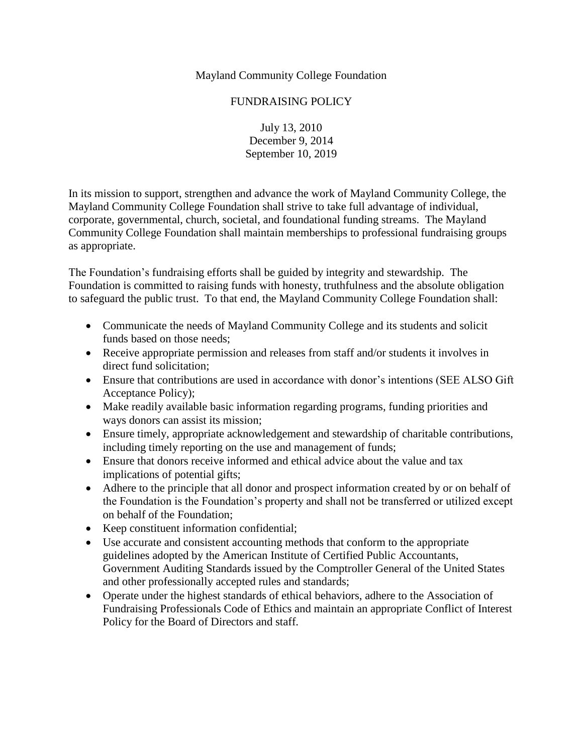Mayland Community College Foundation

## FUNDRAISING POLICY

July 13, 2010 December 9, 2014 September 10, 2019

In its mission to support, strengthen and advance the work of Mayland Community College, the Mayland Community College Foundation shall strive to take full advantage of individual, corporate, governmental, church, societal, and foundational funding streams. The Mayland Community College Foundation shall maintain memberships to professional fundraising groups as appropriate.

The Foundation's fundraising efforts shall be guided by integrity and stewardship. The Foundation is committed to raising funds with honesty, truthfulness and the absolute obligation to safeguard the public trust. To that end, the Mayland Community College Foundation shall:

- Communicate the needs of Mayland Community College and its students and solicit funds based on those needs;
- Receive appropriate permission and releases from staff and/or students it involves in direct fund solicitation;
- Ensure that contributions are used in accordance with donor's intentions (SEE ALSO Gift Acceptance Policy);
- Make readily available basic information regarding programs, funding priorities and ways donors can assist its mission;
- Ensure timely, appropriate acknowledgement and stewardship of charitable contributions, including timely reporting on the use and management of funds;
- Ensure that donors receive informed and ethical advice about the value and tax implications of potential gifts;
- Adhere to the principle that all donor and prospect information created by or on behalf of the Foundation is the Foundation's property and shall not be transferred or utilized except on behalf of the Foundation;
- Keep constituent information confidential;
- Use accurate and consistent accounting methods that conform to the appropriate guidelines adopted by the American Institute of Certified Public Accountants, Government Auditing Standards issued by the Comptroller General of the United States and other professionally accepted rules and standards;
- Operate under the highest standards of ethical behaviors, adhere to the Association of Fundraising Professionals Code of Ethics and maintain an appropriate Conflict of Interest Policy for the Board of Directors and staff.